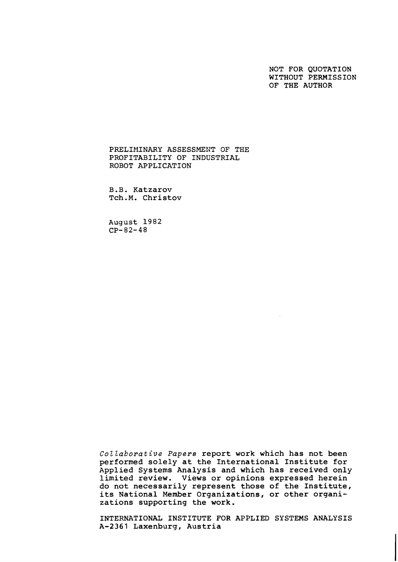NOT FOR QUOTATION WITHOUT PERMISSION OF THE AUTHOR

PRELIMINARY ASSESSMENT OF THE PROFITABILITY OF INDUSTRIAL ROBOT APPLICATION

B.B. Katzarov Tch.M. Christov

August 1982  $CP-82-48$ 

Collaborative Papers report work which has not been performed solely at the International Institute for Applied Systems Analysis and which has received only limited review. Views or opinions expressed herein do not necessarily represent those of the Institute, its National Member Organizations, or other organizations supporting the work.

INTERNATIONAL INSTITUTE FOR APPLIED SYSTEMS ANALYSIS A-2361 Laxenburg, Austria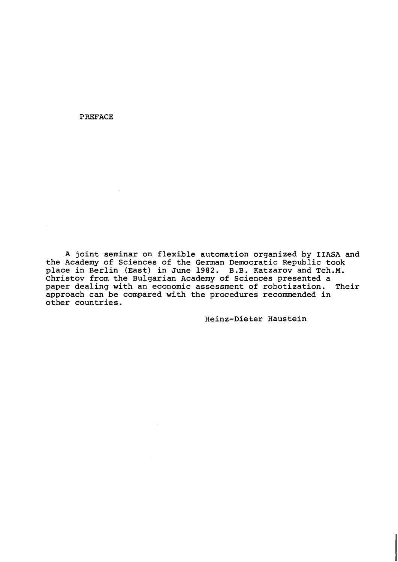PREFACE

A joint seminar on flexible automation organized by IIASA and the Academy of Sciences of the German Democratic Republic took place in Berlin (East) in June 1982. B.B. Katzarov and Tch.M. Christov from the Bulgarian Academy of Sciences presented a<br>paper dealing with an economic assessment of robotization. Their paper dealing with an economic assessment of robotization. approach can be compared with the procedures recommended in other countries.

Heinz-Dieter Haustein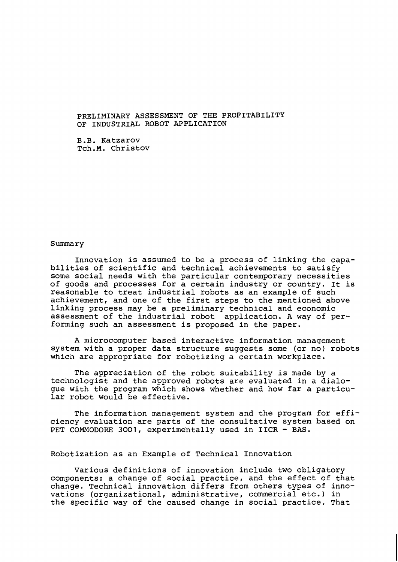# PRELIMINARY ASSESSMENT OF THE PROFITABILITY OF INDUSTRIAL ROBOT APPLICATION

B .B. Katzarov Tch.M. Christov

#### Summary

Innovation is assumed to be a process of linking the capabilities of scientific and technical achievements to satisfy some social needs with the particular contemporary necessities of goods and processes for a certain industry or country. It is reasonable to treat industrial robots as an example of such achievement, and one of the first steps to the mentioned above linking process may be a preliminary technical and economic assessment of the industrial robot application. A way of performing such an assessment is proposed in the paper.

A microcomputer based interactive information management system with a proper data structure suggests some (or no) robots which are appropriate for robotizing a certain workplace.

The appreciation of the robot suitability is made by a technologist and the approved robots are evaluated in a dialogue with the program which shows whether and how far a particular robot would be effective.

The information management system and the program for efficiency evaluation are parts of the consultative system based on PET COMMODORE 3001, experimentally used in IICR - BAS.

## Robotization as an Example of Technical Innovation

Various definitions of innovation include two obligatory components: a change of social practice, and the effect of that change. Technical innovation differs from others types of innovations (organizational, administrative, commercial etc.) in the specific way of the caused change in social practice. That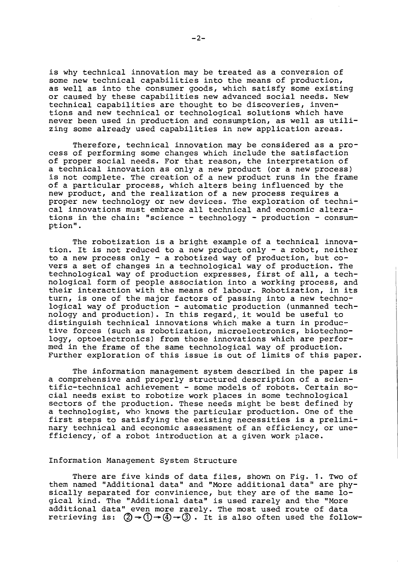is why technical innovation may be treated as a conversion of some new technical capabilities into the means of production, as well as into the consumer goods, which satisfy some existing or caused by these capabilities new advanced social needs. New technical capabilities are thought to be discoveries, inventions and new technical or technological solutions which have never been used in production and consumption, as well as utilizing some already used capabilities in new application areas.

Therefore, technical innovation may be considered as a process of performing some changes which include the satisfaction of proper social needs. For that reason, the interpretation of a technical innovation as only a new product (or a new process) is not complete. The creation of a new product runs in the frame of a particular process, which alters being influenced by the new product, and-the realization of a new process requires a proper new technology or new devices. The exploration of technical innovations must embrace all technical and economic alterations in the chain: "science - technology - production - consumption".

The robotization is a bright example of a technical innovation. It is not reduced to a new product only - a robot, neither tion. It is not reduced to a new product only - a robot, neither to a new process only - a robotized way of production, but covers a set of changes in a technological way of production. The technological way of production expresses, first of all, a technological form of people association into a working process, and their interaction with the means of labour. Robotization, in its turn, is one of the major factors of passing into a new technological way of production - automatic production (unmanned technology and production). In this regard, it would be useful to distinguish technical innovations which make a turn in productive forces (such as robotization, microelectronics, biotechnology, optoelectronics) from those innovations which are performed in the frame of the same technological way of production. Further exploration of this issue is out of limits of this paper.

The information management system described in the paper is a comprehensive and properly structured description of a scientific-technical achievement - some models of robots. Certain social needs exist to robotize work places in some technological sectors of the production. These needs might be best defined by a technologist, who knows the particular production. One of the first steps to satisfying the existing necessities is a preliminary technical and economic assessment of an efficiency, or unefficiency,'of a robot introduction at a given work place.

#### Information Management System Structure

There are five kinds of data files, shown on Fig. 1. Two of them named "Additional data" and "More additional data" are physically separated for convinience, but they are of the same logical kind. The "Additional data" is used rarely and the "More additional data" even more rarely. The most used route of data retrieving is:  $(2) \rightarrow (1) \rightarrow (3)$ . It is also often used the follow-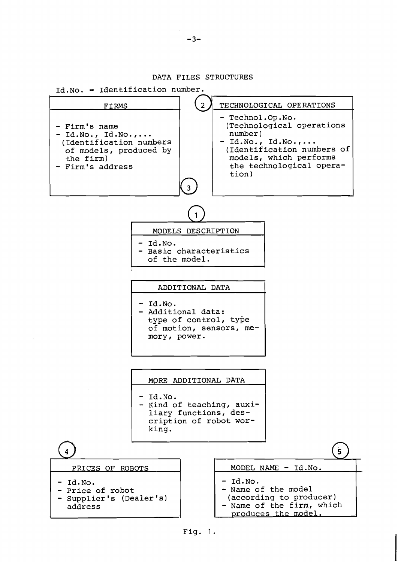### DATA FILES STRUCTURES



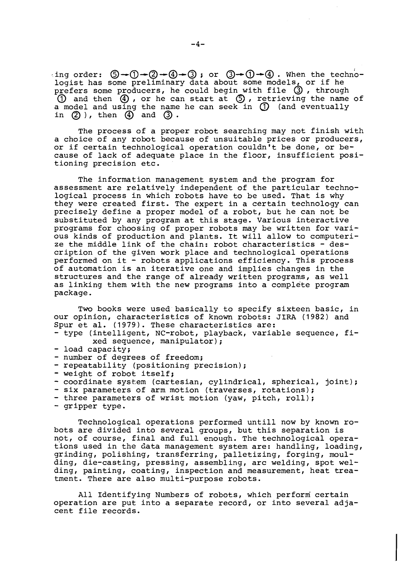ing order:  $\mathbb{S} \rightarrow \mathbb{O} \rightarrow \mathbb{Q} \rightarrow \mathbb{Q}$  ; or  $\mathbb{O} \rightarrow \mathbb{O} \rightarrow \mathbb{Q}$ . When the technologist has some preliminary data about some models, or if he prefers some producers, he could begin with file  $\odot$ , through  $\overline{10}$  and then  $\overline{4}$ , or he can start at  $\overline{5}$ , retrieving the name of a model and using the name he can seek in (1) (and eventually in  $(2)$ ), then  $(4)$  and  $(3)$ .

The process of a proper robot searching may not finish with a choice of any robot because of unsuitable prices or producers, or if certain technological operation couldn't be done, or because of lack of adequate place in the floor, insufficient positioning precision etc.

The information management system and the program for assessment are relatively independent of the particular technological process in which robots have to be used. That is why they were created first. The expert in a certain technology can precisely define a proper model of a robot, but he can not be substituted by any program at this stage. Various interactive programs for choosing of proper robots may be written for various kinds of production and plants. It will allow to computerize the middle link of the chain: robot characteristics - description of the given work place and technological operations performed on it - robots applications efficiency. This process of automation is an iterative one and implies changes in the structures and the range of already written programs, as well as linking them with the new programs into a complete program package.

Two books were used basically to specify sixteen basic, in our opinion, characteristics of known robots: JIRA (1982) and Spur et al. (1979). These characteristics are:

- type (intelligent, NC-robot, playback, variable sequence, fixed sequence, manipulator);

- load capacity;
- number of degrees of freedom;
- repeatability (positioning precision);
- weight of robot itself;
- coordinate system (cartesian, cylindrical, spherical, joint);
- six parameters of arm motion (traverses, rotations);
- three parameters of wrist motion (yaw, pitch, roll);
- gripper type.

Technological operations performed until1 now by known robots are divided into several groups, but this separation is not, of course, final and full enough. The technological operations used in the data management system are: handling, loading, grinding, polishing, transferring, palletizing, forging, moulding, die-casting, pressing, assembling, arc welding, spot welding, painting, coating, inspection and measurement, heat treatment. There are also multi-purpose robots.

All Identifying Numbers of robots, which perform certain operation are put into a separate record, or into several adjacent file records.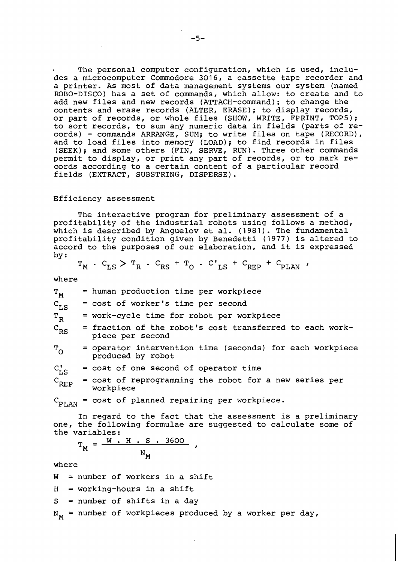The personal computer configuration, which is used, includes a microcomputer Commodore 3016, a cassette tape recorder and a printer. As most of data management systems our system (named ROBO-DISCO) has a set of commands, which allow: to create and to add new files and new records (ATTACH-command); to change the contents and erase records (ALTER, ERASE); to display records, or part of records, or whole files (SHOW, WRITE, FPRINT, TOPS); to sort records, to sum any numeric data in fields (parts of records) - commands ARRANGE, SUM; to write files on tape (RECORD), and to load files into memory (LOAD); to find records in files (SEEK); and some others (FIN, SERVE, RUN). Three other commands permit to display, or print any part of records, or to mark records according to a certain content of a particular record fields (EXTRACT, SUBSTRING, DISPERSE) .

#### Efficiency assessment

The interactive program for preliminary assessment of a profitability of the industrial robots using follows a method, which is described by Anguelov et al. (1981). The fundamental profitability condition given by Benedetti (1977) is altered to accord to the purposes of our elaboration, and it is expressed by :

$$
\mathbf{T}_{\mathbf{M}} \cdot \mathbf{C}_{\mathbf{L}\mathbf{S}} > \mathbf{T}_{\mathbf{R}} \cdot \mathbf{C}_{\mathbf{R}\mathbf{S}} + \mathbf{T}_{\mathbf{O}} \cdot \mathbf{C}_{\mathbf{L}\mathbf{S}} + \mathbf{C}_{\mathbf{R}\mathbf{F}\mathbf{P}} + \mathbf{C}_{\mathbf{PLAN}}
$$

where

 $T_{M}$  = human production time per workpiece  $C_{L,S}$  = cost of worker's time per second  $T_{R}$  = work-cycle time for robot per workpiece<br>C<sub>RS</sub> = fraction of the robot's cost transferred  $=$  fraction of the robot's cost transferred to each workpiece per second  $T_{\Omega}$  = operator intervention time (seconds) for each workpiece produced by robot  $C_{L,S}^{\dagger}$ = cost of one second of operator time = cost of reprogramming the robot for a new series per  $\mathrm{C}_{\mathbf{RFP}}$ workpiece  $C_{PLAN}$  = cost of planned repairing per workpiece.

In regard to the fact that the assessment is a preliminary

one, the following formulae are suggested to calculate some of the variables: ables:<br><u>= W . H . S . 3600</u>

$$
T_M = \frac{W \cdot H \cdot S \cdot 3600}{N_M},
$$

where

 $W =$  number of workers in a shift  $H = working-hours in a shift$ S = number of shifts in a day  $N_M$  = number of workpieces produced by a worker per day,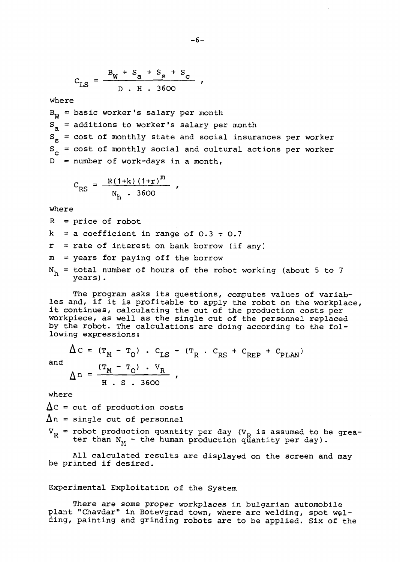$$
C_{LS} = \frac{B_W + S_A + S_S + S_C}{D + H + 3600}
$$

where

 $B_{\text{w}}$  = basic worker's salary per month  $S<sub>a</sub>$  = additions to worker's salary per month  $S_{s}$  = cost of monthly state and social insurances per worker  $S_{c}$  = cost of monthly social and cultural actions per worker  $D =$  number of work-days in a month,

$$
C_{RS} = \frac{R(1+k)(1+r)^{m}}{N_{h} \cdot 3600}
$$

where

 $R = price of robot$  $k = a$  coefficient in range of 0.3  $\div$  0.7  $r =$  rate of interest on bank borrow (if any)  $m = years$  for paying off the borrow  $N_h$  = total number of hours of the robot working (about 5 to 7 years).

The program asks its questions, computes values of variables and, if it is profitable to apply the robot on the workplace, les and, it it is profitable to apply the robot on the workpla<br>it continues, calculating the cut of the production costs per workpiece, as well as the single cut of the personnel replaced by the robot. The calculations are doing according to the following expressions:

$$
\Delta C = (T_M - T_O) \cdot C_{LS} - (T_R \cdot C_{RS} + C_{REP} + C_{PLAN})
$$
  
and  

$$
\Delta n = \frac{(T_M - T_O) \cdot V_R}{H \cdot S \cdot 3600}
$$
,

where

 $\lambda$ 

 $\Delta C$  = cut of production costs  $\Delta n$  = single cut of personnel

 $V_R$  = robot production quantity per day ( $V_p$  is assumed to be greater than  $N_M$  - the human production quantity per day).

All calculated results are displayed on the screen and may be printed if desired.

## Experimental Exploitation of the System

There are some proper workplaces in bulgarian automobile plant "Chavdar" in Botevgrad town, where arc welding, spot welding, painting and grinding robots are to be applied. Six of the

 $-6-$ 

 $\mathbf{r}$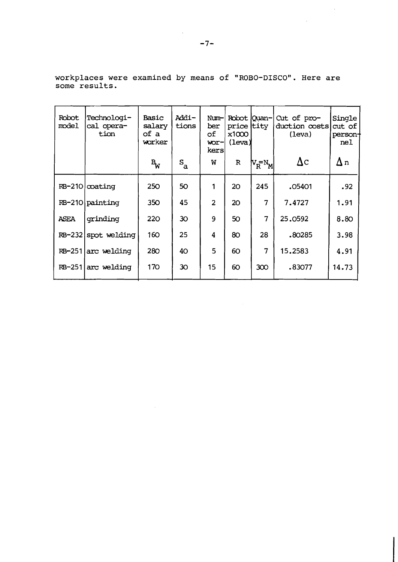workplaces were examined by means of **"ROBO-DISCO".** Here are some results.

 $\ddot{\phantom{a}}$ 

| Robot<br>model | Technologi-<br>cal opera-<br>tion | Basic<br>salary<br>of a<br>worker | Addi-<br>tions            | Num-<br>ber<br>оf<br>wor-<br>kers | Robot  Quan-<br>price tity<br>x1000<br>(leva) |                                             | $Cut$ of $pro-$<br>duction costs<br>(leva) | Single<br>cut of<br>person+<br>nel |
|----------------|-----------------------------------|-----------------------------------|---------------------------|-----------------------------------|-----------------------------------------------|---------------------------------------------|--------------------------------------------|------------------------------------|
|                |                                   | $\mathbf{B}_{\mathbf{W}}$         | $\mathbf{s}_{\mathtt{a}}$ | W                                 | $\mathbb{R}$                                  | $\mathsf{N}_{\mathbf{R}}^{\mathbf{-N_{M}}}$ | $\Delta c$                                 | $\Delta$ n                         |
|                | RB-210   coating                  | 250                               | 50                        | 1                                 | 20                                            | 245                                         | .05401                                     | .92                                |
|                | RB-210 painting                   | 350                               | 45                        | $\overline{2}$                    | 20                                            | 7                                           | 7.4727                                     | 1.91                               |
| <b>ASEA</b>    | qrinding                          | 220                               | 30 <sup>2</sup>           | 9                                 | 50                                            | 7                                           | 25.0592                                    | 8.80                               |
|                | RB-232 spot welding               | 160                               | 25                        | 4                                 | 80                                            | 28                                          | .80285                                     | 3.98                               |
|                | $RB-251 arc$ welding              | 280                               | 40                        | 5                                 | 60                                            | 7                                           | 15.2583                                    | 4.91                               |
|                | $RB-251$ arc welding              | 170                               | 30                        | 15                                | 60                                            | 300                                         | .83077                                     | 14.73                              |

 $\mathcal{A}^{\mathcal{A}}$ 

 $\mathcal{L}_{\text{eff}}$